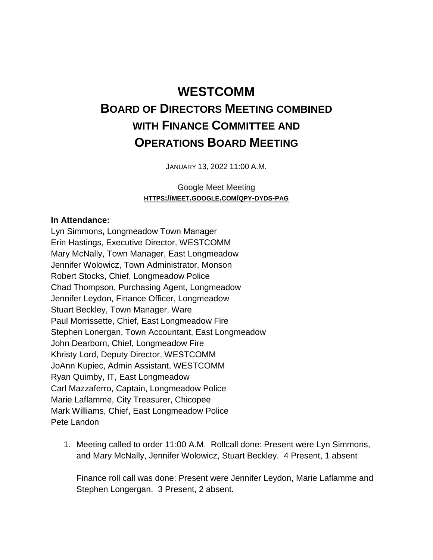## **WESTCOMM BOARD OF DIRECTORS MEETING COMBINED WITH FINANCE COMMITTEE AND OPERATIONS BOARD MEETING**

JANUARY 13, 2022 11:00 A.M.

Google Meet Meeting **HTTPS://MEET.GOOGLE.COM/QPY-DYDS-PAG**

## **In Attendance:**

Lyn Simmons**,** Longmeadow Town Manager Erin Hastings, Executive Director, WESTCOMM Mary McNally, Town Manager, East Longmeadow Jennifer Wolowicz, Town Administrator, Monson Robert Stocks, Chief, Longmeadow Police Chad Thompson, Purchasing Agent, Longmeadow Jennifer Leydon, Finance Officer, Longmeadow Stuart Beckley, Town Manager, Ware Paul Morrissette, Chief, East Longmeadow Fire Stephen Lonergan, Town Accountant, East Longmeadow John Dearborn, Chief, Longmeadow Fire Khristy Lord, Deputy Director, WESTCOMM JoAnn Kupiec, Admin Assistant, WESTCOMM Ryan Quimby, IT, East Longmeadow Carl Mazzaferro, Captain, Longmeadow Police Marie Laflamme, City Treasurer, Chicopee Mark Williams, Chief, East Longmeadow Police Pete Landon

1. Meeting called to order 11:00 A.M. Rollcall done: Present were Lyn Simmons, and Mary McNally, Jennifer Wolowicz, Stuart Beckley. 4 Present, 1 absent

Finance roll call was done: Present were Jennifer Leydon, Marie Laflamme and Stephen Longergan. 3 Present, 2 absent.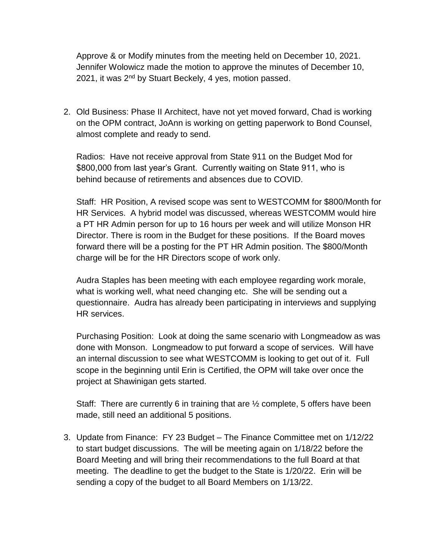Approve & or Modify minutes from the meeting held on December 10, 2021. Jennifer Wolowicz made the motion to approve the minutes of December 10, 2021, it was 2<sup>nd</sup> by Stuart Beckely, 4 yes, motion passed.

2. Old Business: Phase II Architect, have not yet moved forward, Chad is working on the OPM contract, JoAnn is working on getting paperwork to Bond Counsel, almost complete and ready to send.

Radios: Have not receive approval from State 911 on the Budget Mod for \$800,000 from last year's Grant. Currently waiting on State 911, who is behind because of retirements and absences due to COVID.

Staff: HR Position, A revised scope was sent to WESTCOMM for \$800/Month for HR Services. A hybrid model was discussed, whereas WESTCOMM would hire a PT HR Admin person for up to 16 hours per week and will utilize Monson HR Director. There is room in the Budget for these positions. If the Board moves forward there will be a posting for the PT HR Admin position. The \$800/Month charge will be for the HR Directors scope of work only.

Audra Staples has been meeting with each employee regarding work morale, what is working well, what need changing etc. She will be sending out a questionnaire. Audra has already been participating in interviews and supplying HR services.

Purchasing Position: Look at doing the same scenario with Longmeadow as was done with Monson. Longmeadow to put forward a scope of services. Will have an internal discussion to see what WESTCOMM is looking to get out of it. Full scope in the beginning until Erin is Certified, the OPM will take over once the project at Shawinigan gets started.

Staff: There are currently 6 in training that are ½ complete, 5 offers have been made, still need an additional 5 positions.

3. Update from Finance: FY 23 Budget – The Finance Committee met on 1/12/22 to start budget discussions. The will be meeting again on 1/18/22 before the Board Meeting and will bring their recommendations to the full Board at that meeting. The deadline to get the budget to the State is 1/20/22. Erin will be sending a copy of the budget to all Board Members on 1/13/22.